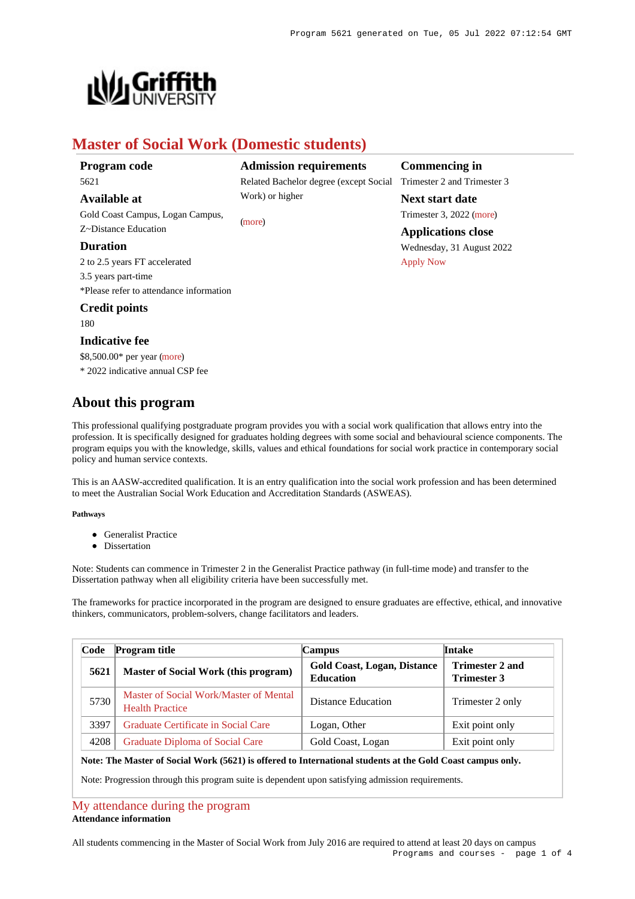

# **Master of Social Work (Domestic students)**

Work) or higher

[\(more](https://www148.griffith.edu.au/programs-courses/Program/5621/HowToApply/Domestic#can-i-apply))

# **Program code** 5621

## **Available at**

Gold Coast Campus, Logan Campus, Z~Distance Education

## **Duration**

2 to 2.5 years FT accelerated 3.5 years part-time \*Please refer to attendance information

# **Credit points**

180

# **Indicative fee**

\$8,500.00\* per year [\(more](https://www148.griffith.edu.au/programs-courses/Program/5621/Overview/Domestic#fees))

\* 2022 indicative annual CSP fee

# **About this program**

This professional qualifying postgraduate program provides you with a social work qualification that allows entry into the profession. It is specifically designed for graduates holding degrees with some social and behavioural science components. The program equips you with the knowledge, skills, values and ethical foundations for social work practice in contemporary social policy and human service contexts.

This is an AASW-accredited qualification. It is an entry qualification into the social work profession and has been determined to meet the Australian Social Work Education and Accreditation Standards (ASWEAS).

### **Pathways**

- **Generalist Practice**
- Dissertation

Note: Students can commence in Trimester 2 in the Generalist Practice pathway (in full-time mode) and transfer to the Dissertation pathway when all eligibility criteria have been successfully met.

The frameworks for practice incorporated in the program are designed to ensure graduates are effective, ethical, and innovative thinkers, communicators, problem-solvers, change facilitators and leaders.

| Code | <b>Program title</b>                                             | Campus                                                 | Intake                                       |
|------|------------------------------------------------------------------|--------------------------------------------------------|----------------------------------------------|
| 5621 | <b>Master of Social Work (this program)</b>                      | <b>Gold Coast, Logan, Distance</b><br><b>Education</b> | <b>Trimester 2 and</b><br><b>Trimester 3</b> |
| 5730 | Master of Social Work/Master of Mental<br><b>Health Practice</b> | Distance Education                                     | Trimester 2 only                             |
| 3397 | Graduate Certificate in Social Care                              | Logan, Other                                           | Exit point only                              |
| 4208 | Graduate Diploma of Social Care                                  | Gold Coast, Logan                                      | Exit point only                              |

### **Note: The Master of Social Work (5621) is offered to International students at the Gold Coast campus only.**

Note: Progression through this program suite is dependent upon satisfying admission requirements.

### [My attendance during the program](https://www148.griffith.edu.au/programs-courses/Program/5621/Overview/Domestic#attendance) **Attendance information**

All students commencing in the Master of Social Work from July 2016 are required to attend at least 20 days on campus Programs and courses - page 1 of 4

#### **Admission requirements Commencing in**

Related Bachelor degree (except Social Trimester 2 and Trimester 3

**Next start date** Trimester 3, 2022 [\(more](https://www148.griffith.edu.au/programs-courses/Program/5621/HowToApply/Domestic))

**Applications close**

Wednesday, 31 August 2022 [Apply Now](https://www148.griffith.edu.au/programs-courses/Program/5621/Overview/Domestic#)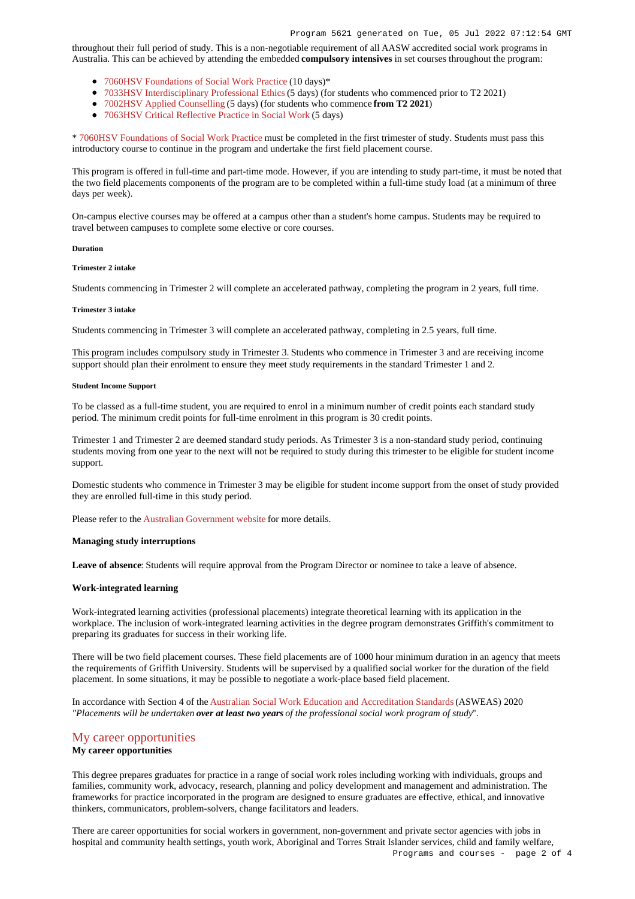throughout their full period of study. This is a non-negotiable requirement of all AASW accredited social work programs in Australia. This can be achieved by attending the embedded **compulsory intensives** in set courses throughout the program:

- [7060HSV Foundations of Social Work Practice](https://www148.griffith.edu.au/Course/7060HSV) (10 days)\*
- [7033HSV Interdisciplinary Professional Ethics](https://www148.griffith.edu.au/Course/7033HSV) (5 days) (for students who commenced prior to T2 2021)
- [7002HSV Applied Counselling](https://www148.griffith.edu.au/Course/7002HSV) (5 days) (for students who commence **from T2 2021**)
- [7063HSV Critical Reflective Practice in Social Work](https://www148.griffith.edu.au/Course/7063HSV) (5 days)

\* [7060HSV Foundations of Social Work Practice](https://www148.griffith.edu.au/Course/7060HSV) must be completed in the first trimester of study. Students must pass this introductory course to continue in the program and undertake the first field placement course.

This program is offered in full-time and part-time mode. However, if you are intending to study part-time, it must be noted that the two field placements components of the program are to be completed within a full-time study load (at a minimum of three days per week).

On-campus elective courses may be offered at a campus other than a student's home campus. Students may be required to travel between campuses to complete some elective or core courses.

#### **Duration**

#### **Trimester 2 intake**

Students commencing in Trimester 2 will complete an accelerated pathway, completing the program in 2 years, full time.

#### **Trimester 3 intake**

Students commencing in Trimester 3 will complete an accelerated pathway, completing in 2.5 years, full time.

This program includes compulsory study in Trimester 3. Students who commence in Trimester 3 and are receiving income support should plan their enrolment to ensure they meet study requirements in the standard Trimester 1 and 2.

#### **Student Income Support**

To be classed as a full-time student, you are required to enrol in a minimum number of credit points each standard study period. The minimum credit points for full-time enrolment in this program is 30 credit points.

Trimester 1 and Trimester 2 are deemed standard study periods. As Trimester 3 is a non-standard study period, continuing students moving from one year to the next will not be required to study during this trimester to be eligible for student income support.

Domestic students who commence in Trimester 3 may be eligible for student income support from the onset of study provided they are enrolled full-time in this study period.

Please refer to the [Australian Government website](https://www.humanservices.gov.au/customer/dhs/centrelink) for more details.

#### **Managing study interruptions**

**Leave of absence**: Students will require approval from the Program Director or nominee to take a leave of absence.

#### **Work-integrated learning**

Work-integrated learning activities (professional placements) integrate theoretical learning with its application in the workplace. The inclusion of work-integrated learning activities in the degree program demonstrates Griffith's commitment to preparing its graduates for success in their working life.

There will be two field placement courses. These field placements are of 1000 hour minimum duration in an agency that meets the requirements of Griffith University. Students will be supervised by a qualified social worker for the duration of the field placement. In some situations, it may be possible to negotiate a work-place based field placement.

In accordance with Section 4 of the [Australian Social Work Education and Accreditation Standards](https://www.aasw.asn.au/document/item/6073) (ASWEAS) 2020 *"Placements will be undertaken over at least two years of the professional social work program of study*".

# [My career opportunities](https://www148.griffith.edu.au/programs-courses/Program/5621/Overview/Domestic#opportunities) **My career opportunities**

This degree prepares graduates for practice in a range of social work roles including working with individuals, groups and families, community work, advocacy, research, planning and policy development and management and administration. The frameworks for practice incorporated in the program are designed to ensure graduates are effective, ethical, and innovative thinkers, communicators, problem-solvers, change facilitators and leaders.

There are career opportunities for social workers in government, non-government and private sector agencies with jobs in hospital and community health settings, youth work, Aboriginal and Torres Strait Islander services, child and family welfare,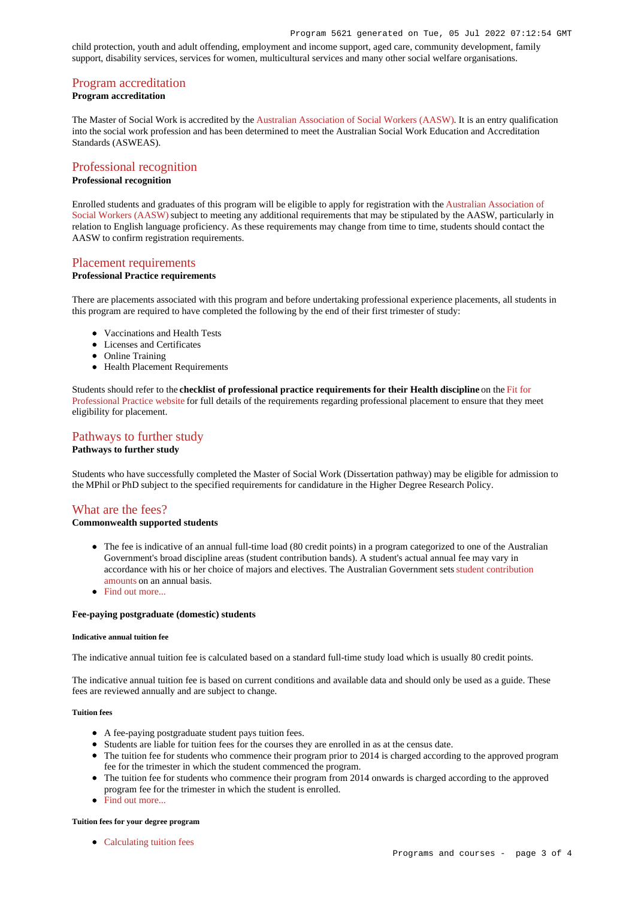child protection, youth and adult offending, employment and income support, aged care, community development, family support, disability services, services for women, multicultural services and many other social welfare organisations.

# [Program accreditation](https://www148.griffith.edu.au/programs-courses/Program/5621/Overview/Domestic#accreditation)

# **Program accreditation**

The Master of Social Work is accredited by the [Australian Association of Social Workers \(AASW\)](http://www.aasw.asn.au/). It is an entry qualification into the social work profession and has been determined to meet the Australian Social Work Education and Accreditation Standards (ASWEAS).

# [Professional recognition](https://www148.griffith.edu.au/programs-courses/Program/5621/Overview/Domestic#recognition)

# **Professional recognition**

Enrolled students and graduates of this program will be eligible to apply for registration with the [Australian Association of](https://www.aasw.asn.au/) [Social Workers \(AASW\)](https://www.aasw.asn.au/) subject to meeting any additional requirements that may be stipulated by the AASW, particularly in relation to English language proficiency. As these requirements may change from time to time, students should contact the AASW to confirm registration requirements.

## [Placement requirements](https://www148.griffith.edu.au/programs-courses/Program/5621/Overview/Domestic#placement)

### **Professional Practice requirements**

There are placements associated with this program and before undertaking professional experience placements, all students in this program are required to have completed the following by the end of their first trimester of study:

- Vaccinations and Health Tests
- Licenses and Certificates
- Online Training
- Health Placement Requirements

Students should refer to the **checklist of professional practice requirements for their Health discipline** on the [Fit for](https://www.griffith.edu.au/griffith-health/fit-for-professional-practice) [Professional Practice website](https://www.griffith.edu.au/griffith-health/fit-for-professional-practice) for full details of the requirements regarding professional placement to ensure that they meet eligibility for placement.

# [Pathways to further study](https://www148.griffith.edu.au/programs-courses/Program/5621/Overview/Domestic#pathways) **Pathways to further study**

Students who have successfully completed the Master of Social Work (Dissertation pathway) may be eligible for admission to the MPhil or PhD subject to the specified requirements for candidature in the Higher Degree Research Policy.

# [What are the fees?](https://www148.griffith.edu.au/programs-courses/Program/5621/Overview/Domestic#fees)

### **Commonwealth supported students**

- The fee is indicative of an annual full-time load (80 credit points) in a program categorized to one of the Australian Government's broad discipline areas (student contribution bands). A student's actual annual fee may vary in accordance with his or her choice of majors and electives. The Australian Government sets [student contribution](http://studyassist.gov.au/sites/studyassist/helppayingmyfees/csps/pages/student-contribution-amounts) [amounts](http://studyassist.gov.au/sites/studyassist/helppayingmyfees/csps/pages/student-contribution-amounts) on an annual basis.
- Find out more.

#### **Fee-paying postgraduate (domestic) students**

#### **Indicative annual tuition fee**

The indicative annual tuition fee is calculated based on a standard full-time study load which is usually 80 credit points.

The indicative annual tuition fee is based on current conditions and available data and should only be used as a guide. These fees are reviewed annually and are subject to change.

### **Tuition fees**

- A fee-paying postgraduate student pays tuition fees.
- Students are liable for tuition fees for the courses they are enrolled in as at the census date.
- The tuition fee for students who commence their program prior to 2014 is charged according to the approved program fee for the trimester in which the student commenced the program.
- The tuition fee for students who commence their program from 2014 onwards is charged according to the approved program fee for the trimester in which the student is enrolled.
- [Find out more...](https://www148.griffith.edu.au/programs-courses/Program/5621/Overview/Domestic#whatAreTheFees)

### **Tuition fees for your degree program**

• [Calculating tuition fees](https://www.griffith.edu.au/fees-charges/domestic-students/calculating-tuition-fees)